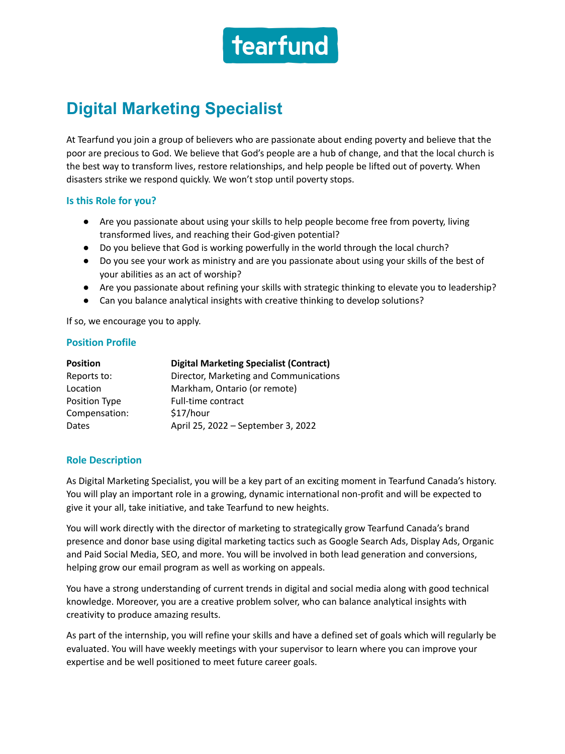

# **Digital Marketing Specialist**

At Tearfund you join a group of believers who are passionate about ending poverty and believe that the poor are precious to God. We believe that God's people are a hub of change, and that the local church is the best way to transform lives, restore relationships, and help people be lifted out of poverty. When disasters strike we respond quickly. We won't stop until poverty stops.

#### **Is this Role for you?**

- Are you passionate about using your skills to help people become free from poverty, living transformed lives, and reaching their God-given potential?
- Do you believe that God is working powerfully in the world through the local church?
- Do you see your work as ministry and are you passionate about using your skills of the best of your abilities as an act of worship?
- Are you passionate about refining your skills with strategic thinking to elevate you to leadership?
- Can you balance analytical insights with creative thinking to develop solutions?

If so, we encourage you to apply.

## **Position Profile**

| <b>Position</b> | <b>Digital Marketing Specialist (Contract)</b> |
|-----------------|------------------------------------------------|
| Reports to:     | Director, Marketing and Communications         |
| Location        | Markham, Ontario (or remote)                   |
| Position Type   | Full-time contract                             |
| Compensation:   | \$17/hour                                      |
| Dates           | April 25, 2022 - September 3, 2022             |

## **Role Description**

As Digital Marketing Specialist, you will be a key part of an exciting moment in Tearfund Canada's history. You will play an important role in a growing, dynamic international non-profit and will be expected to give it your all, take initiative, and take Tearfund to new heights.

You will work directly with the director of marketing to strategically grow Tearfund Canada's brand presence and donor base using digital marketing tactics such as Google Search Ads, Display Ads, Organic and Paid Social Media, SEO, and more. You will be involved in both lead generation and conversions, helping grow our email program as well as working on appeals.

You have a strong understanding of current trends in digital and social media along with good technical knowledge. Moreover, you are a creative problem solver, who can balance analytical insights with creativity to produce amazing results.

As part of the internship, you will refine your skills and have a defined set of goals which will regularly be evaluated. You will have weekly meetings with your supervisor to learn where you can improve your expertise and be well positioned to meet future career goals.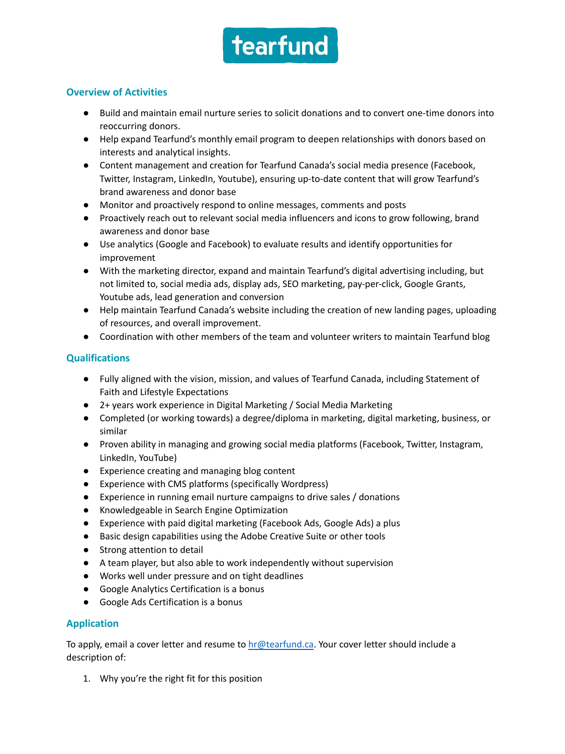

## **Overview of Activities**

- Build and maintain email nurture series to solicit donations and to convert one-time donors into reoccurring donors.
- Help expand Tearfund's monthly email program to deepen relationships with donors based on interests and analytical insights.
- Content management and creation for Tearfund Canada's social media presence (Facebook, Twitter, Instagram, LinkedIn, Youtube), ensuring up-to-date content that will grow Tearfund's brand awareness and donor base
- Monitor and proactively respond to online messages, comments and posts
- Proactively reach out to relevant social media influencers and icons to grow following, brand awareness and donor base
- Use analytics (Google and Facebook) to evaluate results and identify opportunities for improvement
- With the marketing director, expand and maintain Tearfund's digital advertising including, but not limited to, social media ads, display ads, SEO marketing, pay-per-click, Google Grants, Youtube ads, lead generation and conversion
- Help maintain Tearfund Canada's website including the creation of new landing pages, uploading of resources, and overall improvement.
- Coordination with other members of the team and volunteer writers to maintain Tearfund blog

## **Qualifications**

- Fully aligned with the vision, mission, and values of Tearfund Canada, including Statement of Faith and Lifestyle Expectations
- 2+ years work experience in Digital Marketing / Social Media Marketing
- Completed (or working towards) a degree/diploma in marketing, digital marketing, business, or similar
- Proven ability in managing and growing social media platforms (Facebook, Twitter, Instagram, LinkedIn, YouTube)
- Experience creating and managing blog content
- Experience with CMS platforms (specifically Wordpress)
- Experience in running email nurture campaigns to drive sales / donations
- Knowledgeable in Search Engine Optimization
- Experience with paid digital marketing (Facebook Ads, Google Ads) a plus
- Basic design capabilities using the Adobe Creative Suite or other tools
- Strong attention to detail
- A team player, but also able to work independently without supervision
- Works well under pressure and on tight deadlines
- Google Analytics Certification is a bonus
- Google Ads Certification is a bonus

## **Application**

To apply, email a cover letter and resume to **hr@tearfund.ca**. Your cover letter should include a description of:

1. Why you're the right fit for this position